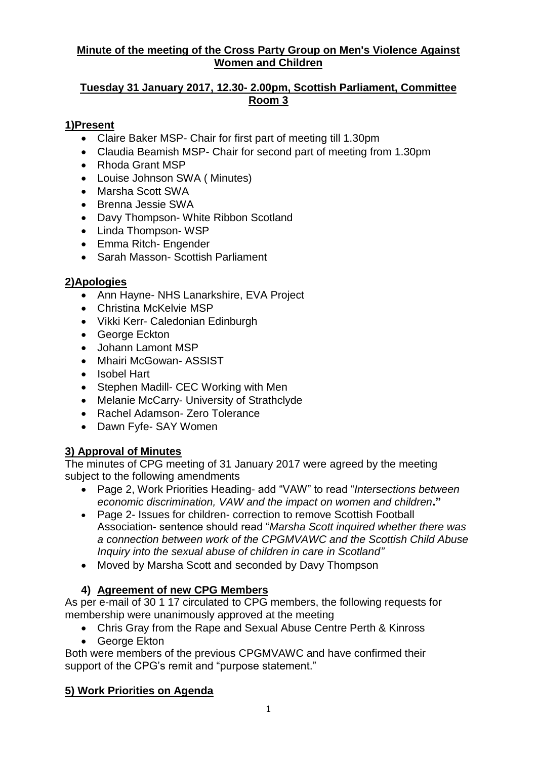## **Minute of the meeting of the Cross Party Group on Men's Violence Against Women and Children**

## **Tuesday 31 January 2017, 12.30- 2.00pm, Scottish Parliament, Committee Room 3**

## **1)Present**

- Claire Baker MSP- Chair for first part of meeting till 1.30pm
- Claudia Beamish MSP- Chair for second part of meeting from 1.30pm
- Rhoda Grant MSP
- Louise Johnson SWA ( Minutes)
- Marsha Scott SWA
- Brenna Jessie SWA
- Davy Thompson- White Ribbon Scotland
- Linda Thompson-WSP
- Emma Ritch- Engender
- Sarah Masson- Scottish Parliament

# **2)Apologies**

- Ann Hayne- NHS Lanarkshire, EVA Project
- Christina McKelvie MSP
- Vikki Kerr- Caledonian Edinburgh
- George Eckton
- Johann Lamont MSP
- Mhairi McGowan- ASSIST
- Isobel Hart
- Stephen Madill- CEC Working with Men
- Melanie McCarry- University of Strathclyde
- Rachel Adamson- Zero Tolerance
- Dawn Fyfe- SAY Women

# **3) Approval of Minutes**

The minutes of CPG meeting of 31 January 2017 were agreed by the meeting subject to the following amendments

- Page 2, Work Priorities Heading- add "VAW" to read "*Intersections between economic discrimination, VAW and the impact on women and children***."**
- Page 2- Issues for children- correction to remove Scottish Football Association- sentence should read "*Marsha Scott inquired whether there was a connection between work of the CPGMVAWC and the Scottish Child Abuse Inquiry into the sexual abuse of children in care in Scotland"*
- Moved by Marsha Scott and seconded by Davy Thompson

# **4) Agreement of new CPG Members**

As per e-mail of 30 1 17 circulated to CPG members, the following requests for membership were unanimously approved at the meeting

- Chris Gray from the Rape and Sexual Abuse Centre Perth & Kinross
- George Ekton

Both were members of the previous CPGMVAWC and have confirmed their support of the CPG's remit and "purpose statement."

# **5) Work Priorities on Agenda**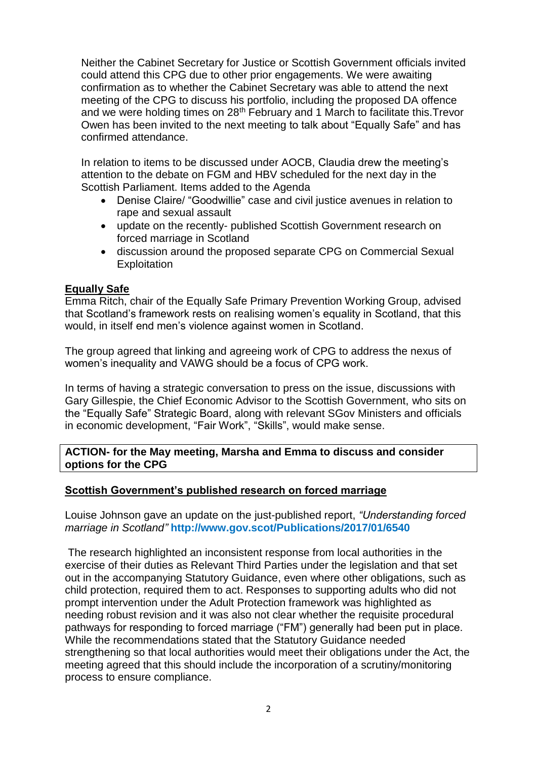Neither the Cabinet Secretary for Justice or Scottish Government officials invited could attend this CPG due to other prior engagements. We were awaiting confirmation as to whether the Cabinet Secretary was able to attend the next meeting of the CPG to discuss his portfolio, including the proposed DA offence and we were holding times on 28<sup>th</sup> February and 1 March to facilitate this. Trevor Owen has been invited to the next meeting to talk about "Equally Safe" and has confirmed attendance.

In relation to items to be discussed under AOCB, Claudia drew the meeting's attention to the debate on FGM and HBV scheduled for the next day in the Scottish Parliament. Items added to the Agenda

- Denise Claire/ "Goodwillie" case and civil justice avenues in relation to rape and sexual assault
- update on the recently- published Scottish Government research on forced marriage in Scotland
- discussion around the proposed separate CPG on Commercial Sexual **Exploitation**

## **Equally Safe**

Emma Ritch, chair of the Equally Safe Primary Prevention Working Group, advised that Scotland's framework rests on realising women's equality in Scotland, that this would, in itself end men's violence against women in Scotland.

The group agreed that linking and agreeing work of CPG to address the nexus of women's inequality and VAWG should be a focus of CPG work.

In terms of having a strategic conversation to press on the issue, discussions with Gary Gillespie, the Chief Economic Advisor to the Scottish Government, who sits on the "Equally Safe" Strategic Board, along with relevant SGov Ministers and officials in economic development, "Fair Work", "Skills", would make sense.

#### **ACTION- for the May meeting, Marsha and Emma to discuss and consider options for the CPG**

#### **Scottish Government's published research on forced marriage**

Louise Johnson gave an update on the just-published report, *"Understanding forced marriage in Scotland"* **<http://www.gov.scot/Publications/2017/01/6540>**

The research highlighted an inconsistent response from local authorities in the exercise of their duties as Relevant Third Parties under the legislation and that set out in the accompanying Statutory Guidance, even where other obligations, such as child protection, required them to act. Responses to supporting adults who did not prompt intervention under the Adult Protection framework was highlighted as needing robust revision and it was also not clear whether the requisite procedural pathways for responding to forced marriage ("FM") generally had been put in place. While the recommendations stated that the Statutory Guidance needed strengthening so that local authorities would meet their obligations under the Act, the meeting agreed that this should include the incorporation of a scrutiny/monitoring process to ensure compliance.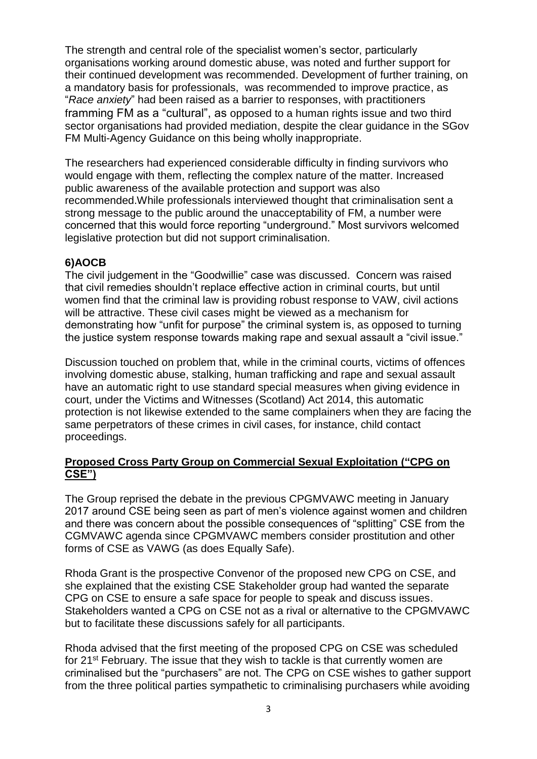The strength and central role of the specialist women's sector, particularly organisations working around domestic abuse, was noted and further support for their continued development was recommended. Development of further training, on a mandatory basis for professionals, was recommended to improve practice, as "*Race anxiety*" had been raised as a barrier to responses, with practitioners framming FM as a "cultural", as opposed to a human rights issue and two third sector organisations had provided mediation, despite the clear guidance in the SGov FM Multi-Agency Guidance on this being wholly inappropriate.

The researchers had experienced considerable difficulty in finding survivors who would engage with them, reflecting the complex nature of the matter. Increased public awareness of the available protection and support was also recommended.While professionals interviewed thought that criminalisation sent a strong message to the public around the unacceptability of FM, a number were concerned that this would force reporting "underground." Most survivors welcomed legislative protection but did not support criminalisation.

## **6)AOCB**

The civil judgement in the "Goodwillie" case was discussed. Concern was raised that civil remedies shouldn't replace effective action in criminal courts, but until women find that the criminal law is providing robust response to VAW, civil actions will be attractive. These civil cases might be viewed as a mechanism for demonstrating how "unfit for purpose" the criminal system is, as opposed to turning the justice system response towards making rape and sexual assault a "civil issue."

Discussion touched on problem that, while in the criminal courts, victims of offences involving domestic abuse, stalking, human trafficking and rape and sexual assault have an automatic right to use standard special measures when giving evidence in court, under the Victims and Witnesses (Scotland) Act 2014, this automatic protection is not likewise extended to the same complainers when they are facing the same perpetrators of these crimes in civil cases, for instance, child contact proceedings.

## **Proposed Cross Party Group on Commercial Sexual Exploitation ("CPG on CSE")**

The Group reprised the debate in the previous CPGMVAWC meeting in January 2017 around CSE being seen as part of men's violence against women and children and there was concern about the possible consequences of "splitting" CSE from the CGMVAWC agenda since CPGMVAWC members consider prostitution and other forms of CSE as VAWG (as does Equally Safe).

Rhoda Grant is the prospective Convenor of the proposed new CPG on CSE, and she explained that the existing CSE Stakeholder group had wanted the separate CPG on CSE to ensure a safe space for people to speak and discuss issues. Stakeholders wanted a CPG on CSE not as a rival or alternative to the CPGMVAWC but to facilitate these discussions safely for all participants.

Rhoda advised that the first meeting of the proposed CPG on CSE was scheduled for 21<sup>st</sup> February. The issue that they wish to tackle is that currently women are criminalised but the "purchasers" are not. The CPG on CSE wishes to gather support from the three political parties sympathetic to criminalising purchasers while avoiding